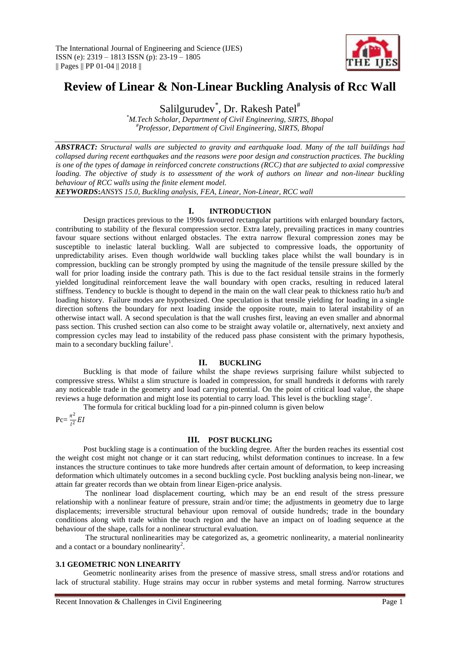

# **Review of Linear & Non-Linear Buckling Analysis of Rcc Wall**

Salilgurudev<sup>\*</sup>, Dr. Rakesh Patel<sup>#</sup>

*\*M.Tech Scholar, Department of Civil Engineering, SIRTS, Bhopal #Professor, Department of Civil Engineering, SIRTS, Bhopal*

*ABSTRACT: Structural walls are subjected to gravity and earthquake load. Many of the tall buildings had collapsed during recent earthquakes and the reasons were poor design and construction practices. The buckling is one of the types of damage in reinforced concrete constructions (RCC) that are subjected to axial compressive loading. The objective of study is to assessment of the work of authors on linear and non-linear buckling behaviour of RCC walls using the finite element model.*

*KEYWORDS***:***ANSYS 15.0, Buckling analysis, FEA, Linear, Non-Linear, RCC wall*

## **I. INTRODUCTION**

Design practices previous to the 1990s favoured rectangular partitions with enlarged boundary factors, contributing to stability of the flexural compression sector. Extra lately, prevailing practices in many countries favour square sections without enlarged obstacles. The extra narrow flexural compression zones may be susceptible to inelastic lateral buckling. Wall are subjected to compressive loads, the opportunity of unpredictability arises. Even though worldwide wall buckling takes place whilst the wall boundary is in compression, buckling can be strongly prompted by using the magnitude of the tensile pressure skilled by the wall for prior loading inside the contrary path. This is due to the fact residual tensile strains in the formerly yielded longitudinal reinforcement leave the wall boundary with open cracks, resulting in reduced lateral stiffness. Tendency to buckle is thought to depend in the main on the wall clear peak to thickness ratio hu/b and loading history. Failure modes are hypothesized. One speculation is that tensile yielding for loading in a single direction softens the boundary for next loading inside the opposite route, main to lateral instability of an otherwise intact wall. A second speculation is that the wall crushes first, leaving an even smaller and abnormal pass section. This crushed section can also come to be straight away volatile or, alternatively, next anxiety and compression cycles may lead to instability of the reduced pass phase consistent with the primary hypothesis, main to a secondary buckling failure<sup>1</sup>.

## **II. BUCKLING**

Buckling is that mode of failure whilst the shape reviews surprising failure whilst subjected to compressive stress. Whilst a slim structure is loaded in compression, for small hundreds it deforms with rarely any noticeable trade in the geometry and load carrying potential. On the point of critical load value, the shape reviews a huge deformation and might lose its potential to carry load. This level is the buckling stage<sup>2</sup>.

The formula for critical buckling load for a pin-pinned column is given below

 $Pc = \frac{\pi^2}{l^2}$  $\frac{1}{l^2}EI$ 

## **III. POST BUCKLING**

Post buckling stage is a continuation of the buckling degree. After the burden reaches its essential cost the weight cost might not change or it can start reducing, whilst deformation continues to increase. In a few instances the structure continues to take more hundreds after certain amount of deformation, to keep increasing deformation which ultimately outcomes in a second buckling cycle. Post buckling analysis being non-linear, we attain far greater records than we obtain from linear Eigen-price analysis.

The nonlinear load displacement courting, which may be an end result of the stress pressure relationship with a nonlinear feature of pressure, strain and/or time; the adjustments in geometry due to large displacements; irreversible structural behaviour upon removal of outside hundreds; trade in the boundary conditions along with trade within the touch region and the have an impact on of loading sequence at the behaviour of the shape, calls for a nonlinear structural evaluation.

The structural nonlinearities may be categorized as, a geometric nonlinearity, a material nonlinearity and a contact or a boundary nonlinearity<sup>2</sup>.

## **3.1 GEOMETRIC NON LINEARITY**

Geometric nonlinearity arises from the presence of massive stress, small stress and/or rotations and lack of structural stability. Huge strains may occur in rubber systems and metal forming. Narrow structures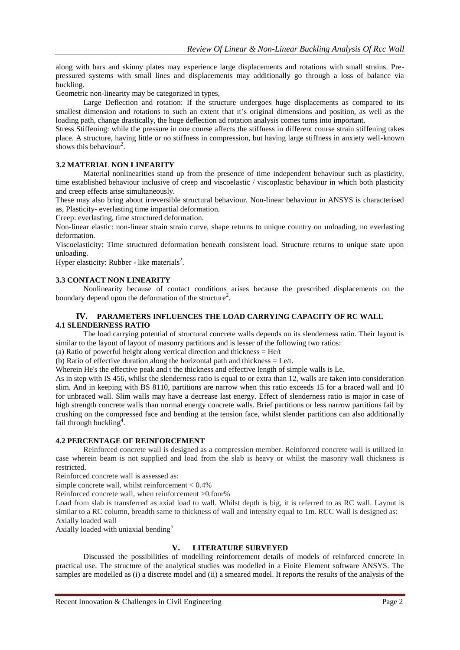along with bars and skinny plates may experience large displacements and rotations with small strains. Prepressured systems with small lines and displacements may additionally go through a loss of balance via buckling.

Geometric non-linearity may be categorized in types,

Large Deflection and rotation: If the structure undergoes huge displacements as compared to its smallest dimension and rotations to such an extent that it's original dimensions and position, as well as the loading path, change drastically, the huge deflection ad rotation analysis comes turns into important.

Stress Stiffening: while the pressure in one course affects the stiffness in different course strain stiffening takes place. A structure, having little or no stiffness in compression, but having large stiffness in anxiety well-known shows this behaviour<sup>2</sup>.

### **3.2 MATERIAL NON LINEARITY**

Material nonlinearities stand up from the presence of time independent behaviour such as plasticity, time established behaviour inclusive of creep and viscoelastic / viscoplastic behaviour in which both plasticity and creep effects arise simultaneously.

These may also bring about irreversible structural behaviour. Non-linear behaviour in ANSYS is characterised as, Plasticity- everlasting time impartial deformation.

Creep: everlasting, time structured deformation.

Non-linear elastic: non-linear strain strain curve, shape returns to unique country on unloading, no everlasting deformation.

Viscoelasticity: Time structured deformation beneath consistent load. Structure returns to unique state upon unloading.

Hyper elasticity: Rubber - like materials<sup>2</sup>.

## **3.3 CONTACT NON LINEARITY**

Nonlinearity because of contact conditions arises because the prescribed displacements on the boundary depend upon the deformation of the structure<sup>2</sup>.

## **IV. PARAMETERS INFLUENCES THE LOAD CARRYING CAPACITY OF RC WALL 4.1 SLENDERNESS RATIO**

The load carrying potential of structural concrete walls depends on its slenderness ratio. Their layout is similar to the layout of layout of masonry partitions and is lesser of the following two ratios:

(a) Ratio of powerful height along vertical direction and thickness  $=$  He/t

(b) Ratio of effective duration along the horizontal path and thickness = Le/t.

Wherein He's the effective peak and t the thickness and effective length of simple walls is Le.

As in step with IS 456, whilst the slenderness ratio is equal to or extra than 12, walls are taken into consideration slim. And in keeping with BS 8110, partitions are narrow when this ratio exceeds 15 for a braced wall and 10 for unbraced wall. Slim walls may have a decrease last energy. Effect of slenderness ratio is major in case of high strength concrete walls than normal energy concrete walls. Brief partitions or less narrow partitions fail by crushing on the compressed face and bending at the tension face, whilst slender partitions can also additionally fail through buckling<sup>4</sup>.

## **4.2 PERCENTAGE OF REINFORCEMENT**

Reinforced concrete wall is designed as a compression member. Reinforced concrete wall is utilized in case wherein beam is not supplied and load from the slab is heavy or whilst the masonry wall thickness is restricted.

Reinforced concrete wall is assessed as:

simple concrete wall, whilst reinforcement < 0.4%

Reinforced concrete wall, when reinforcement >0.four%

Load from slab is transferred as axial load to wall. Whilst depth is big, it is referred to as RC wall. Layout is similar to a RC column, breadth same to thickness of wall and intensity equal to 1m. RCC Wall is designed as: Axially loaded wall

Axially loaded with uniaxial bending<sup>5</sup>

## **V. LITERATURE SURVEYED**

Discussed the possibilities of modelling reinforcement details of models of reinforced concrete in practical use. The structure of the analytical studies was modelled in a Finite Element software ANSYS. The samples are modelled as (i) a discrete model and (ii) a smeared model. It reports the results of the analysis of the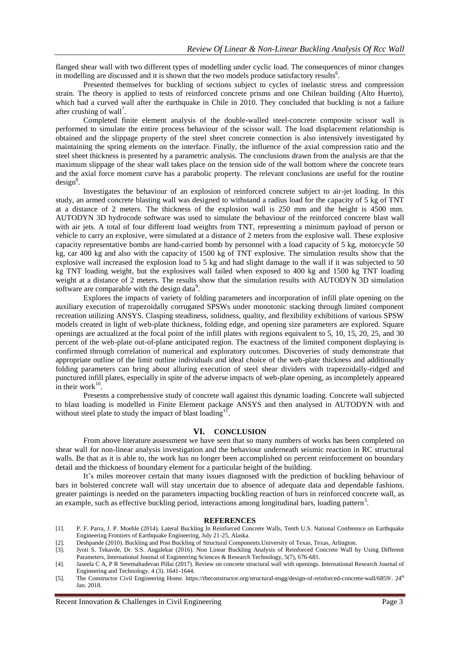flanged shear wall with two different types of modelling under cyclic load. The consequences of minor changes in modelling are discussed and it is shown that the two models produce satisfactory results<sup>6</sup>.

Presented themselves for buckling of sections subject to cycles of inelastic stress and compression strain. The theory is applied to tests of reinforced concrete prisms and one Chilean building (Alto Huerto), which had a curved wall after the earthquake in Chile in 2010. They concluded that buckling is not a failure after crushing of wall<sup>7</sup>.

Completed finite element analysis of the double-walled steel-concrete composite scissor wall is performed to simulate the entire process behaviour of the scissor wall. The load displacement relationship is obtained and the slippage property of the steel sheet concrete connection is also intensively investigated by maintaining the spring elements on the interface. Finally, the influence of the axial compression ratio and the steel sheet thickness is presented by a parametric analysis. The conclusions drawn from the analysis are that the maximum slippage of the shear wall takes place on the tension side of the wall bottom where the concrete tears and the axial force moment curve has a parabolic property. The relevant conclusions are useful for the routine  $design<sup>8</sup>$ .

Investigates the behaviour of an explosion of reinforced concrete subject to air-jet loading. In this study, an armed concrete blasting wall was designed to withstand a radius load for the capacity of 5 kg of TNT at a distance of 2 meters. The thickness of the explosion wall is 250 mm and the height is 4500 mm. AUTODYN 3D hydrocode software was used to simulate the behaviour of the reinforced concrete blast wall with air jets. A total of four different load weights from TNT, representing a minimum payload of person or vehicle to carry an explosive, were simulated at a distance of 2 meters from the explosive wall. These explosive capacity representative bombs are hand-carried bomb by personnel with a load capacity of 5 kg, motorcycle 50 kg, car 400 kg and also with the capacity of 1500 kg of TNT explosive. The simulation results show that the explosive wall increased the explosion load to 5 kg and had slight damage to the wall if it was subjected to 50 kg TNT loading weight, but the explosives wall failed when exposed to 400 kg and 1500 kg TNT loading weight at a distance of 2 meters. The results show that the simulation results with AUTODYN 3D simulation software are comparable with the design data $\degree$ .

Explores the impacts of variety of folding parameters and incorporation of infill plate opening on the auxiliary execution of trapezoidally corrugated SPSWs under monotonic stacking through limited component recreation utilizing ANSYS. Clasping steadiness, solidness, quality, and flexibility exhibitions of various SPSW models created in light of web-plate thickness, folding edge, and opening size parameters are explored. Square openings are actualized at the focal point of the infill plates with regions equivalent to 5, 10, 15, 20, 25, and 30 percent of the web-plate out-of-plane anticipated region. The exactness of the limited component displaying is confirmed through correlation of numerical and exploratory outcomes. Discoveries of study demonstrate that appropriate outline of the limit outline individuals and ideal choice of the web-plate thickness and additionally folding parameters can bring about alluring execution of steel shear dividers with trapezoidally-ridged and punctured infill plates, especially in spite of the adverse impacts of web-plate opening, as incompletely appeared in their work $10$ .

Presents a comprehensive study of concrete wall against this dynamic loading. Concrete wall subjected to blast loading is modelled in Finite Element package ANSYS and then analysed in AUTODYN with and without steel plate to study the impact of blast loading<sup>11</sup> .

#### **VI. CONCLUSION**

From above literature assessment we have seen that so many numbers of works has been completed on shear wall for non-linear analysis investigation and the behaviour underneath seismic reaction in RC structural walls. Be that as it is able to, the work has no longer been accomplished on percent reinforcement on boundary detail and the thickness of boundary element for a particular height of the building.

It's miles moreover certain that many issues diagnosed with the prediction of buckling behaviour of bars in bolstered concrete wall will stay uncertain due to absence of adequate data and dependable fashions. greater paintings is needed on the parameters impacting buckling reaction of bars in reinforced concrete wall, as an example, such as effective buckling period, interactions among longitudinal bars, loading pattern<sup>3</sup>.

#### **REFERENCES**

- [1]. P. F. Parra, J. P. Moehle (2014). Lateral Buckling In Reinforced Concrete Walls, Tenth U.S. National Conference on Earthquake Engineering Frontiers of Earthquake Engineering, July 21-25, Alaska.
- [2]. Deshpande (2010). Buckling and Post Buckling of Structural Components.University of Texas, Texas, Arlington.
- [3]. Jyoti S. Tekavde, Dr. S.S. Angalekar (2016). Non Linear Buckling Analysis of Reinforced Concrete Wall by Using Different Parameters, International Journal of Engineering Sciences & Research Technology, 5(7), 676-681.
- [4]. Jaseela C A, P R Sreemahadevan Pillai (2017). Review on concrete structural wall with openings. International Research Journal of Engineering and Technology. 4 (3). 1641-1644.
- [5]. The Constructor Civil Engineering Home. https://theconstructor.org/structural-engg/design-of-reinforced-concrete-wall/6859/. 24th Jan. 2018.